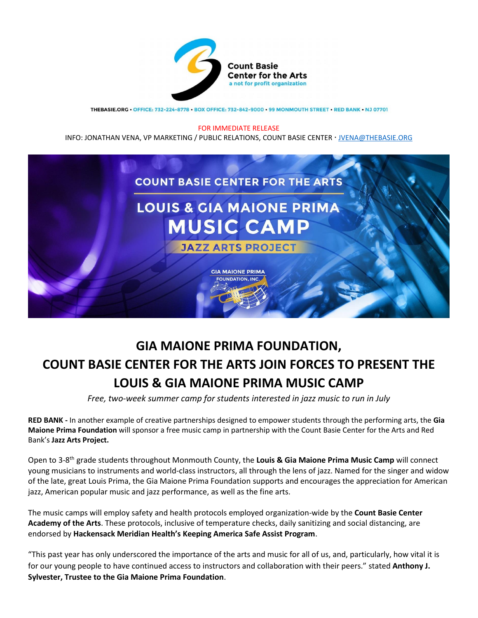

THEBASIE.ORG · OFFICE: 732-224-8778 · BOX OFFICE: 732-842-9000 · 99 MONMOUTH STREET · RED BANK · NJ 07701

## FOR IMMEDIATE RELEASE

INFO: JONATHAN VENA, VP MARKETING / PUBLIC RELATIONS, COUNT BASIE CENTER [JVENA@THEBASIE.ORG](mailto:JVENA@THEBASIE.ORG)



## **GIA MAIONE PRIMA FOUNDATION, COUNT BASIE CENTER FOR THE ARTS JOIN FORCES TO PRESENT THE LOUIS & GIA MAIONE PRIMA MUSIC CAMP**

*Free, two-week summer camp for students interested in jazz music to run in July* 

**RED BANK -** In another example of creative partnerships designed to empower students through the performing arts, the **Gia Maione Prima Foundation** will sponsor a free music camp in partnership with the Count Basie Center for the Arts and Red Bank's **Jazz Arts Project.** 

Open to 3-8 th grade students throughout Monmouth County, the **Louis & Gia Maione Prima Music Camp** will connect young musicians to instruments and world-class instructors, all through the lens of jazz. Named for the singer and widow of the late, great Louis Prima, the Gia Maione Prima Foundation supports and encourages the appreciation for American jazz, American popular music and jazz performance, as well as the fine arts.

The music camps will employ safety and health protocols employed organization-wide by the **Count Basie Center Academy of the Arts**. These protocols, inclusive of temperature checks, daily sanitizing and social distancing, are endorsed by **Hackensack Meridian Health's Keeping America Safe Assist Program**.

"This past year has only underscored the importance of the arts and music for all of us, and, particularly, how vital it is for our young people to have continued access to instructors and collaboration with their peers." stated **Anthony J. Sylvester, Trustee to the Gia Maione Prima Foundation**.